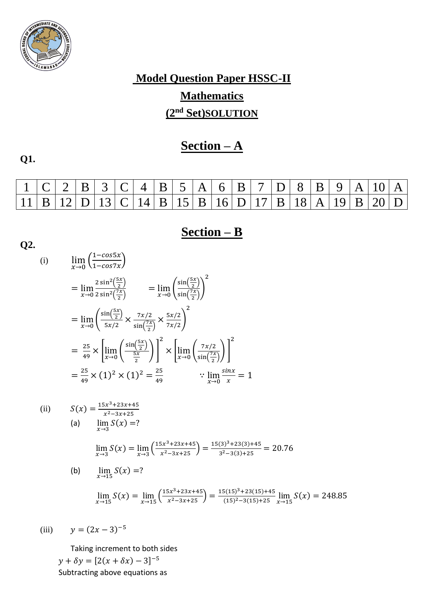

# **Model Question Paper HSSC-II Mathematics (2nd Set)SOLUTION**

## **Section – A**

**Q1.**

|  | $1 C $ 2   B   3   C   4   B   5   A   6   B   7   D   8   B   9   A   10   A                 |  |  |  |  |  |  |  |  |  |
|--|-----------------------------------------------------------------------------------------------|--|--|--|--|--|--|--|--|--|
|  | $ 11 $ B $ 12 $ D $ 13 $ C $ 14 $ B $ 15 $ B $ 16 $ D $ 17 $ B $ 18 $ A $ 19 $ B $ 20 $ D $ $ |  |  |  |  |  |  |  |  |  |

## **Section – B**

Q2.  
\n(i) 
$$
\lim_{x \to 0} \left( \frac{1 - \cos 5x}{1 - \cos 7x} \right)
$$
\n
$$
= \lim_{x \to 0} \frac{2 \sin^2 \left( \frac{x}{2} \right)}{2 \sin^2 \left( \frac{x}{2} \right)} = \lim_{x \to 0} \left( \frac{\sin \left( \frac{5x}{2} \right)}{\sin \left( \frac{7x}{2} \right)} \right)^2
$$
\n
$$
= \lim_{x \to 0} \left( \frac{\sin \left( \frac{5x}{2} \right)}{5x/2} \right) \times \frac{7x/2}{\sin \left( \frac{7x}{2} \right)} \times \frac{5x/2}{7x/2} \right)^2
$$
\n
$$
= \frac{25}{49} \times \left[ \lim_{x \to 0} \left( \frac{\sin \left( \frac{5x}{2} \right)}{\frac{5x}{2}} \right) \right]^2 \times \left[ \lim_{x \to 0} \left( \frac{7x/2}{\sin \left( \frac{7x}{2} \right)} \right) \right]^2
$$
\n
$$
= \frac{25}{49} \times (1)^2 \times (1)^2 = \frac{25}{49} \qquad \therefore \lim_{x \to 0} \frac{\sin x}{x} = 1
$$
\n(ii) 
$$
S(x) = \frac{15x^3 + 23x + 45}{x^2 - 3x + 25}
$$
\n(a) 
$$
\lim_{x \to 3} S(x) = ?
$$
\n
$$
\lim_{x \to 3} S(x) = \lim_{x \to 15} \left( \frac{15x^3 + 23x + 45}{x^2 - 3x + 25} \right) = \frac{15(3)^3 + 23(3) + 45}{3^2 - 3(3) + 25} = 20.76
$$
\n(b) 
$$
\lim_{x \to 15} S(x) = ?
$$
\n
$$
\lim_{x \to 15} S(x) = \lim_{x \to 15} \left( \frac{15x^3 + 23x + 45}{x^2 - 3x + 25} \right) = \frac{15(15)^3 + 23(15) + 45}{(15)^2 - 3(15) + 25} \lim_{x \to 15} S(x
$$

(iii)  $y = (2x - 3)^{-5}$ 

Taking increment to both sides

 $y + \delta y = [2(x + \delta x) - 3]^{-5}$ Subtracting above equations as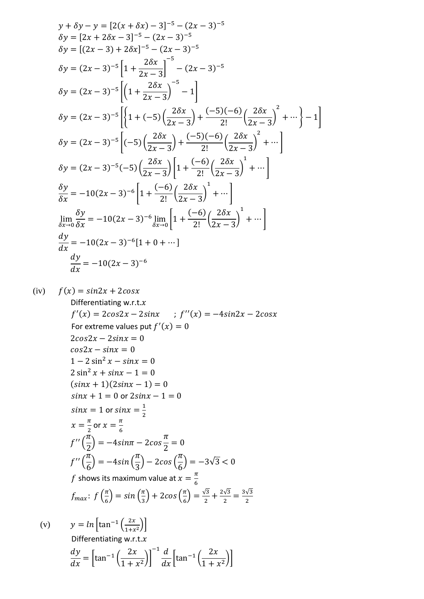$$
y + \delta y - y = [2(x + \delta x) - 3]^{-5} - (2x - 3)^{-5}
$$
  
\n
$$
\delta y = [2x + 2\delta x - 3]^{-5} - (2x - 3)^{-5}
$$
  
\n
$$
\delta y = [(2x - 3) + 2\delta x]^{-5} - (2x - 3)^{-5}
$$
  
\n
$$
\delta y = (2x - 3)^{-5} \left[ 1 + \frac{2\delta x}{2x - 3} \right]^{-5} - (2x - 3)^{-5}
$$
  
\n
$$
\delta y = (2x - 3)^{-5} \left[ \left( 1 + \frac{2\delta x}{2x - 3} \right)^{-5} - 1 \right]
$$
  
\n
$$
\delta y = (2x - 3)^{-5} \left[ \left\{ 1 + (-5) \left( \frac{2\delta x}{2x - 3} \right) + \frac{(-5)(-6)}{2!} \left( \frac{2\delta x}{2x - 3} \right)^2 + \cdots \right\} - 1 \right]
$$
  
\n
$$
\delta y = (2x - 3)^{-5} \left[ (-5) \left( \frac{2\delta x}{2x - 3} \right) + \frac{(-5)(-6)}{2!} \left( \frac{2\delta x}{2x - 3} \right)^2 + \cdots \right]
$$
  
\n
$$
\delta y = (2x - 3)^{-5} (-5) \left( \frac{2\delta x}{2x - 3} \right) \left[ 1 + \frac{(-6)}{2!} \left( \frac{2\delta x}{2x - 3} \right)^1 + \cdots \right]
$$
  
\n
$$
\frac{\delta y}{\delta x} = -10(2x - 3)^{-6} \left[ 1 + \frac{(-6)}{2!} \left( \frac{2\delta x}{2x - 3} \right)^1 + \cdots \right]
$$
  
\n
$$
\lim_{\delta x \to 0} \frac{\delta y}{\delta x} = -10(2x - 3)^{-6} \left[ \ln 1 + \frac{(-6)}{2!} \left( \frac{2\delta x}{2x - 3} \right)^1 + \cdots \right]
$$
  
\n
$$
\frac{dy}{dx} = -10(2x - 3)^{-6} \left[ 1 + 0 + \cdots \right]
$$

(iv) 
$$
f(x) = \sin 2x + 2\cos x
$$
  
\nDifferentiating w.r.t.x  
\n $f'(x) = 2\cos 2x - 2\sin x$  ;  $f''(x) = -4\sin 2x - 2\cos x$   
\nFor extreme values put  $f'(x) = 0$   
\n $2\cos 2x - 2\sin x = 0$   
\n $0.2\sin^2 x - \sin x = 0$   
\n $1 - 2\sin^2 x - \sin x = 0$   
\n $2\sin^2 x + \sin x - 1 = 0$   
\n $(\sin x + 1)(2\sin x - 1) = 0$   
\n $\sin x + 1 = 0$  or  $2\sin x - 1 = 0$   
\n $\sin x = 1$  or  $\sin x = \frac{1}{2}$   
\n $x = \frac{\pi}{2}$  or  $x = \frac{\pi}{6}$   
\n $f''(\frac{\pi}{2}) = -4\sin \pi - 2\cos \frac{\pi}{2} = 0$   
\n $f''(\frac{\pi}{6}) = -4\sin (\frac{\pi}{3}) - 2\cos (\frac{\pi}{6}) = -3\sqrt{3} < 0$   
\n $f$  shows its maximum value at  $x = \frac{\pi}{6}$   
\n $f_{\text{max}}$ :  $f(\frac{\pi}{6}) = \sin (\frac{\pi}{3}) + 2\cos (\frac{\pi}{6}) = \frac{\sqrt{3}}{2} + \frac{2\sqrt{3}}{2} = \frac{3\sqrt{3}}{2}$   
\n(v)  $y = \ln [\tan^{-1} (\frac{2x}{\tan^{-1}})]$ 

$$
y = \ln \left[ \tan^{-1} \left( \frac{2x}{1+x^2} \right) \right]
$$
  
Differentiating w.r.t.*x*  

$$
\frac{dy}{dx} = \left[ \tan^{-1} \left( \frac{2x}{1+x^2} \right) \right]^{-1} \frac{d}{dx} \left[ \tan^{-1} \left( \frac{2x}{1+x^2} \right) \right]
$$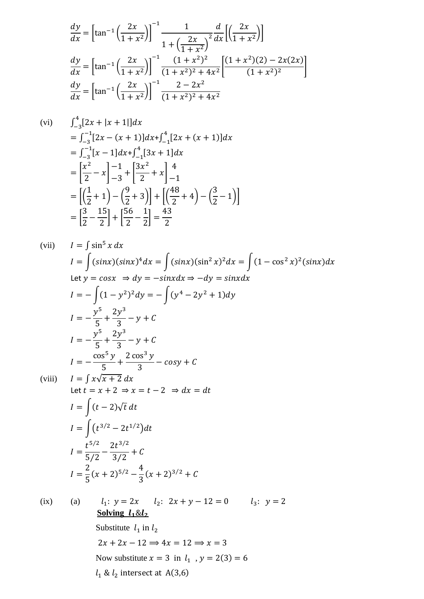$$
\frac{dy}{dx} = \left[\tan^{-1}\left(\frac{2x}{1+x^2}\right)\right]^{-1} \frac{1}{1+\left(\frac{2x}{1+x^2}\right)^2} \frac{d}{dx} \left[\left(\frac{2x}{1+x^2}\right)\right]
$$
\n
$$
\frac{dy}{dx} = \left[\tan^{-1}\left(\frac{2x}{1+x^2}\right)\right]^{-1} \frac{(1+x^2)^2}{(1+x^2)^2+4x^2} \left[\frac{(1+x^2)(2)-2x(2x)}{(1+x^2)^2}\right]
$$
\n
$$
\frac{dy}{dx} = \left[\tan^{-1}\left(\frac{2x}{1+x^2}\right)\right]^{-1} \frac{2-2x^2}{(1+x^2)^2+4x^2}
$$

(vi) 
$$
\int_{-3}^{4} [2x + |x + 1|] dx
$$
  
\n
$$
= \int_{-3}^{-1} [2x - (x + 1)] dx + \int_{-1}^{4} [2x + (x + 1)] dx
$$
  
\n
$$
= \int_{-3}^{-1} [x - 1] dx + \int_{-1}^{4} [3x + 1] dx
$$
  
\n
$$
= \left[ \frac{x^2}{2} - x \right]_{-3}^{-1} + \left[ \frac{3x^2}{2} + x \right]_{-1}^{4}
$$
  
\n
$$
= \left[ \left( \frac{1}{2} + 1 \right) - \left( \frac{9}{2} + 3 \right) \right] + \left[ \left( \frac{48}{2} + 4 \right) - \left( \frac{3}{2} - 1 \right) \right]
$$
  
\n
$$
= \left[ \frac{3}{2} - \frac{15}{2} \right] + \left[ \frac{56}{2} - \frac{1}{2} \right] = \frac{43}{2}
$$

(vii) 
$$
I = \int \sin^5 x \, dx
$$
  
\n
$$
I = \int (\sin x)(\sin x)^4 \, dx = \int (\sin x)(\sin^2 x)^2 \, dx = \int (1 - \cos^2 x)^2 (\sin x) \, dx
$$
  
\nLet  $y = \cos x \Rightarrow dy = -\sin x \, dx \Rightarrow -dy = \sin x \, dx$   
\n
$$
I = -\int (1 - y^2)^2 \, dy = -\int (y^4 - 2y^2 + 1) \, dy
$$
  
\n
$$
I = -\frac{y^5}{5} + \frac{2y^3}{3} - y + C
$$
  
\n
$$
I = -\frac{\cos^5 y}{5} + \frac{2 \cos^3 y}{3} - y + C
$$
  
\n(viii) 
$$
I = \int x \sqrt{x + 2} \, dx
$$
  
\nLet  $t = x + 2 \Rightarrow x = t - 2 \Rightarrow dx = dt$   
\n
$$
I = \int (t - 2) \sqrt{t} \, dt
$$
  
\n
$$
I = \int (t^{\frac{3}{2}} - 2t^{\frac{1}{2}}) \, dt
$$
  
\n
$$
I = \frac{t^{\frac{5}{2}}}{5/2} - \frac{2t^{\frac{3}{2}}}{3/2} + C
$$
  
\n
$$
I = \frac{2}{5} (x + 2)^{\frac{5}{2}} - \frac{4}{3} (x + 2)^{\frac{3}{2}} + C
$$
  
\n(ix) (a) 
$$
I_1: y = 2x \quad I_2: 2x + y - 12 = 0 \quad I_3: y = 2
$$
  
\nSolving  $I_4$ 8L<sub>2</sub>  
\nSubstitute  $I_1$  in  $I_2$ 

 $2x + 2x - 12 \Rightarrow 4x = 12 \Rightarrow x = 3$ Now substitute  $x = 3$  in  $l_1$ ,  $y = 2(3) = 6$  $l_1 \& l_2$  intersect at A(3,6)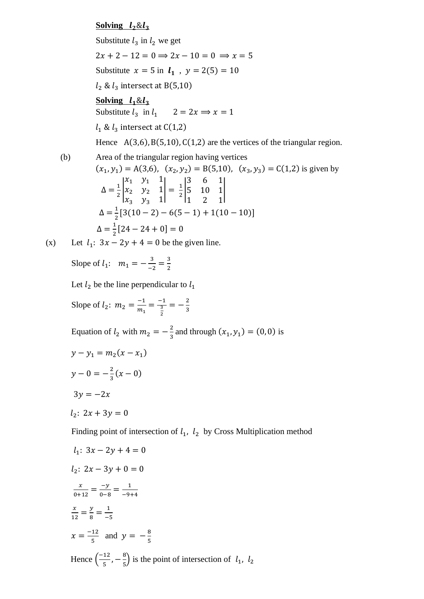#### **Solving**  $l_2 \& l_3$

Substitute  $l_3$  in  $l_2$  we get  $2x + 2 - 12 = 0 \Rightarrow 2x - 10 = 0 \Rightarrow x = 5$ Substitute  $x = 5$  in  $l_1$ ,  $y = 2(5) = 10$  $l_2$  &  $l_3$  intersect at B(5,10) Solving  $l_1 \& l_2$ Substitute  $l_3$  in  $l_1$   $2 = 2x \implies x = 1$  $l_1 \& l_3$  intersect at  $C(1,2)$ Hence  $A(3,6)$ ,  $B(5,10)$ ,  $C(1,2)$  are the vertices of the triangular region. (b) Area of the triangular region having vertices  $(x_1, y_1) = A(3,6)$ ,  $(x_2, y_2) = B(5,10)$ ,  $(x_3, y_3) = C(1,2)$  is given by  $\Delta = \frac{1}{2}$  $\frac{1}{2}$  $x_1$   $y_1$  1  $x_2$   $y_2$  1  $x_3$   $y_3$  1  $\Big| = \frac{1}{2}$  $\frac{1}{2}$ 3 6 1 5 10 1 1 2 1 |  $\Delta = \frac{1}{2}$  $\frac{1}{2}[3(10-2)-6(5-1)+1(10-10)]$  $\Delta = \frac{1}{2}$  $\frac{1}{2}[24-24+0]=0$ (x) Let  $l_1$ :  $3x - 2y + 4 = 0$  be the given line. Slope of  $l_1$ :  $m_1 = -\frac{3}{1}$  $\frac{3}{-2} = \frac{3}{2}$  $\frac{5}{2}$ Let  $l_2$  be the line perpendicular to  $l_1$ Slope of  $l_2$ :  $m_2 = \frac{-1}{m_1}$  $\frac{-1}{m_1} = \frac{-1}{\frac{3}{2}}$ 3 2  $=-\frac{2}{3}$ 3 Equation of  $l_2$  with  $m_2 = -\frac{2}{3}$  $\frac{2}{3}$  and through  $(x_1, y_1) = (0, 0)$  is

$$
y - y_1 = m_2(x - x_1)
$$
  
\n
$$
y - 0 = -\frac{2}{3}(x - 0)
$$
  
\n
$$
3y = -2x
$$
  
\n
$$
l_2: 2x + 3y = 0
$$

Finding point of intersection of  $l_1$ ,  $l_2$  by Cross Multiplication method

$$
l_1: 3x - 2y + 4 = 0
$$
  
\n
$$
l_2: 2x - 3y + 0 = 0
$$
  
\n
$$
\frac{x}{0+12} = \frac{-y}{0-8} = \frac{1}{-9+4}
$$
  
\n
$$
\frac{x}{12} = \frac{y}{8} = \frac{1}{-5}
$$
  
\n
$$
x = \frac{-12}{5} \text{ and } y = -\frac{8}{5}
$$
  
\nHence  $\left(\frac{-12}{5}, -\frac{8}{5}\right)$  is the point of intersection of  $l_1, l_2$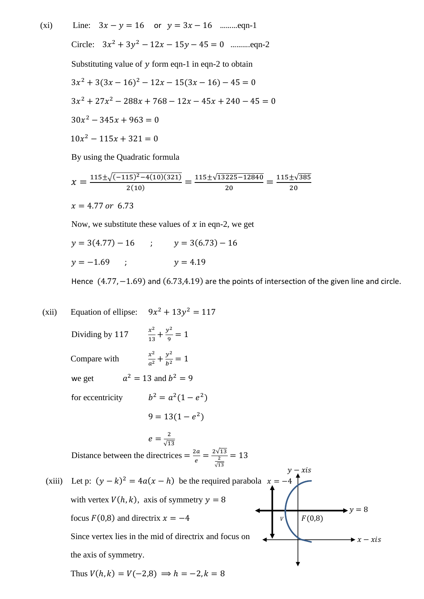(xi) Line:  $3x - y = 16$  or  $y = 3x - 16$  … eqn-1 Circle:  $3x^2 + 3y^2 - 12x - 15y - 45 = 0$  ...........eqn-2 Substituting value of  $y$  form eqn-1 in eqn-2 to obtain  $3x^{2} + 3(3x - 16)^{2} - 12x - 15(3x - 16) - 45 = 0$  $3x^2 + 27x^2 - 288x + 768 - 12x - 45x + 240 - 45 = 0$  $30x^2 - 345x + 963 = 0$  $10x^2 - 115x + 321 = 0$ 

By using the Quadratic formula

$$
\chi = \frac{115 \pm \sqrt{(-115)^2 - 4(10)(321)}}{2(10)} = \frac{115 \pm \sqrt{13225 - 12840}}{20} = \frac{115 \pm \sqrt{385}}{20}
$$
  

$$
\chi = 4.77 \text{ or } 6.73
$$

Now, we substitute these values of  $x$  in eqn-2, we get

$$
y = 3(4.77) - 16
$$
 ;  $y = 3(6.73) - 16$   
 $y = -1.69$  ;  $y = 4.19$ 

Hence (4.77, -1.69) and (6.73,4.19) are the points of intersection of the given line and circle.

(xii) Equation of ellipse: 
$$
9x^2 + 13y^2 = 117
$$
  
\nDividing by 117  $\frac{x^2}{13} + \frac{y^2}{9} = 1$   
\nCompare with  $\frac{x^2}{a^2} + \frac{y^2}{b^2} = 1$   
\nwe get  $a^2 = 13$  and  $b^2 = 9$   
\nfor eccentricity  $b^2 = a^2(1 - e^2)$   
\n $9 = 13(1 - e^2)$   
\n $e = \frac{2}{\sqrt{13}}$   
\nDistance between the directrices  $= \frac{2a}{e} = \frac{2\sqrt{13}}{\frac{2}{\sqrt{13}}} = 13$   
\n(xiii) Let p:  $(y - k)^2 = 4a(x - h)$  be the required parabola  $x = -4$   
\nwith vertex  $V(h, k)$ , axis of symmetry  $y = 8$   
\nfocus  $F(0,8)$  and directrix  $x = -4$   
\nSince vertex lies in the mid of directrix and focus on  
\nthe axis of symmetry.  
\nThus  $V(h, k) = V(-2, 8) \Rightarrow h = -2, k = 8$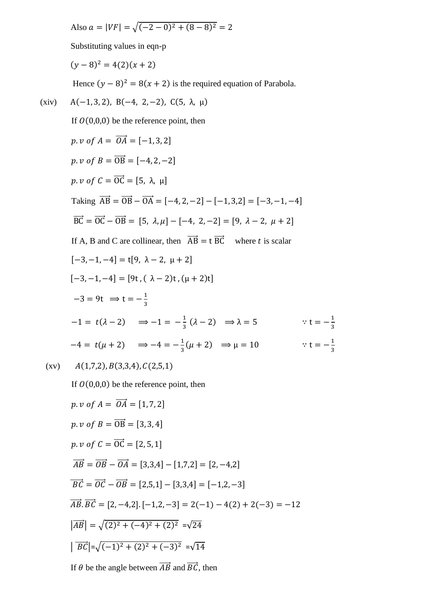Also  $a = |VF| = \sqrt{(-2-0)^2 + (8-8)^2} = 2$ 

Substituting values in eqn-p

 $(y-8)^2 = 4(2)(x+2)$ 

Hence  $(y - 8)^2 = 8(x + 2)$  is the required equation of Parabola.

(xiv) A(-1,3,2), B(-4, 2, -2), C(5, 
$$
\lambda
$$
,  $\mu$ )  
\nIf O(0,0,0) be the reference point, then  
\n $p. v$  of  $A = \overrightarrow{OA} = [-1,3,2]$   
\n $p. v$  of  $B = \overrightarrow{OB} = [-4,2,-2]$   
\n $p. v$  of  $C = \overrightarrow{OC} = [5, \lambda, \mu]$   
\nTaking  $\overrightarrow{AB} = \overrightarrow{OB} - \overrightarrow{OA} = [-4,2,-2] - [-1,3,2] = [-3,-1,-4]$   
\n $\overrightarrow{BC} = \overrightarrow{OC} - \overrightarrow{OB} = [5, \lambda, \mu] - [-4, 2, -2] = [9, \lambda - 2, \mu + 2]$   
\nIf A, B and C are collinear, then  $\overrightarrow{AB} = t \overrightarrow{BC}$  where t is scalar  
\n[-3,-1,-4] = [9t,  $\lambda - 2$ ,  $\mu + 2]$   
\n[-3,-1,-4] = [9t, ( $\lambda - 2$ )t, ( $\mu + 2$ )t]  
\n-3 = 9t  $\Rightarrow t = -\frac{1}{3}$   
\n-1 = t( $\lambda - 2$ )  $\Rightarrow -1 = -\frac{1}{3}$  ( $\lambda - 2$ )  $\Rightarrow \lambda = 5$   $\forall t = -\frac{1}{3}$   
\n-4 = t( $\mu + 2$ )  $\Rightarrow -4 = -\frac{1}{3}$  ( $\mu + 2$ )  $\Rightarrow \mu = 10$   $\forall t = -\frac{1}{3}$   
\n(xv) A(1,7,2), B(3,3,4), C(2,5,1)  
\nIf O(0,0,0) be the reference point, then  
\n $p. v$  of  $A = \overrightarrow{OA} = [1, 7, 2]$   
\n $p. v$  of  $B = \overrightarrow{OB} = [3,3,4]$   
\n $p. v$  of  $C = \overrightarrow{OC} = [2,5,1]$   
\n $\overrightarrow{AB} = \overrightarrow{OB} - \overrightarrow{OA} = [3,3,4] - [1,7,2] = [2,-4,2]$   
\n $\overrightarrow{BC} = \overrightarrow{$ 

If  $\theta$  be the angle between  $\overrightarrow{AB}$  and  $\overrightarrow{BC}$ , then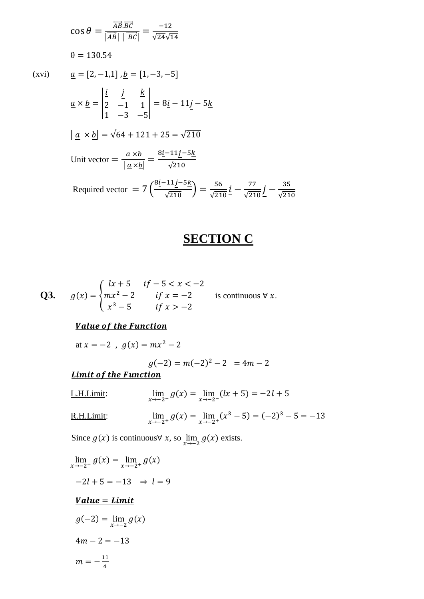$$
\cos \theta = \frac{\overrightarrow{AB}.\overrightarrow{BC}}{|\overrightarrow{AB}| |\overrightarrow{BC}|} = \frac{-12}{\sqrt{24}\sqrt{14}}
$$
  
\n
$$
\theta = 130.54
$$
  
\n
$$
\underline{a} = [2, -1, 1], \underline{b} = [1, -3, -5]
$$
  
\n
$$
\underline{a} \times \underline{b} = \begin{vmatrix} \underline{i} & \underline{j} & \underline{k} \\ 2 & -1 & 1 \\ 1 & -3 & -5 \end{vmatrix} = 8\underline{i} - 11\underline{j} - 5\underline{k}
$$
  
\n
$$
|\underline{a} \times \underline{b}| = \sqrt{64 + 121 + 25} = \sqrt{210}
$$
  
\nUnit vector  $= \frac{\underline{a} \times \underline{b}}{|\underline{a} \times \underline{b}|} = \frac{8\underline{i} - 11\underline{j} - 5\underline{k}}{\sqrt{210}}$   
\nRequired vector  $= 7\left(\frac{8\underline{i} - 11\underline{j} - 5\underline{k}}{\sqrt{210}}\right) = \frac{56}{\sqrt{210}}\underline{i} - \frac{77}{\sqrt{210}}\underline{j} - \frac{35}{\sqrt{210}}$ 

### **SECTION C**

**Q3.** 
$$
g(x) = \begin{cases} lx + 5 & \text{if } -5 < x < -2 \\ mx^2 - 2 & \text{if } x = -2 \\ x^3 - 5 & \text{if } x > -2 \end{cases}
$$
 is continuous  $\forall x$ .

### **Value of the Function**

at  $x = -2$ ,  $g(x) = mx^2 - 2$ 

$$
g(-2) = m(-2)^2 - 2 = 4m - 2
$$

### **Limit of the Function**

- L.H.Limit:  $g(x) = \lim_{x \to -2^{-}} (lx + 5) = -2l + 5$
- R.H.Limit:  $\lim_{x \to -2^+} g(x) = \lim_{x \to -2^+} (x^3 - 5) = (-2)^3 - 5 = -13$

Since  $g(x)$  is continuous∀ x, so  $\lim_{x \to -2} g(x)$  exists.

$$
\lim_{x \to -2^{-}} g(x) = \lim_{x \to -2^{+}} g(x)
$$
  
\n
$$
-2l + 5 = -13 \Rightarrow l = 9
$$
  
\nValue = Limit  
\n
$$
g(-2) = \lim_{x \to -2} g(x)
$$
  
\n
$$
4m - 2 = -13
$$
  
\n
$$
m = -\frac{11}{4}
$$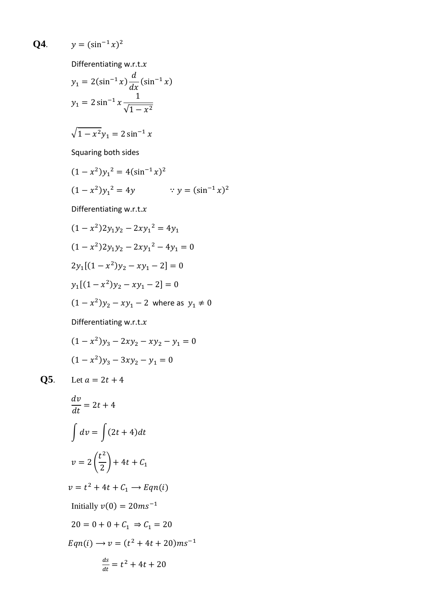**Q4.**  $y = (\sin^{-1} x)^2$ 

Differentiating w.r.t. $x$ 

$$
y_1 = 2(\sin^{-1} x) \frac{d}{dx}(\sin^{-1} x)
$$
  

$$
y_1 = 2 \sin^{-1} x \frac{1}{\sqrt{1 - x^2}}
$$
  

$$
\sqrt{1 - x^2} y_1 = 2 \sin^{-1} x
$$

Squaring both sides

$$
(1 - x2)y12 = 4(sin-1 x)2
$$
  

$$
(1 - x2)y12 = 4y \qquad \therefore y = (sin-1 x)2
$$

Differentiating w.r.t. $x$ 

$$
(1 - x2)2y1y2 - 2xy12 = 4y1
$$
  
(1 - x<sup>2</sup>)2y<sub>1</sub>y<sub>2</sub> - 2xy<sub>1</sub><sup>2</sup> - 4y<sub>1</sub> = 0  
2y<sub>1</sub>[(1 - x<sup>2</sup>)y<sub>2</sub> - xy<sub>1</sub> - 2] = 0  
y<sub>1</sub>[(1 - x<sup>2</sup>)y<sub>2</sub> - xy<sub>1</sub> - 2] = 0  
(1 - x<sup>2</sup>)y<sub>2</sub> - xy<sub>1</sub> - 2 where as y<sub>1</sub> \ne 0

Differentiating w.r.t. $x$ 

$$
(1 - x2)y3 - 2xy2 - xy2 - y1 = 0
$$
  

$$
(1 - x2)y3 - 3xy2 - y1 = 0
$$

**Q5**. Let  $a = 2t + 4$ 

$$
\frac{dv}{dt} = 2t + 4
$$
  

$$
\int dv = \int (2t + 4)dt
$$
  

$$
v = 2\left(\frac{t^2}{2}\right) + 4t + C_1
$$
  

$$
v = t^2 + 4t + C_1 \rightarrow Eqn(i)
$$
  
Initially  $v(0) = 20ms^{-1}$   

$$
20 = 0 + 0 + C_1 \Rightarrow C_1 = 20
$$
  

$$
Eqn(i) \rightarrow v = (t^2 + 4t + 20)ms^{-1}
$$
  

$$
\frac{ds}{dt} = t^2 + 4t + 20
$$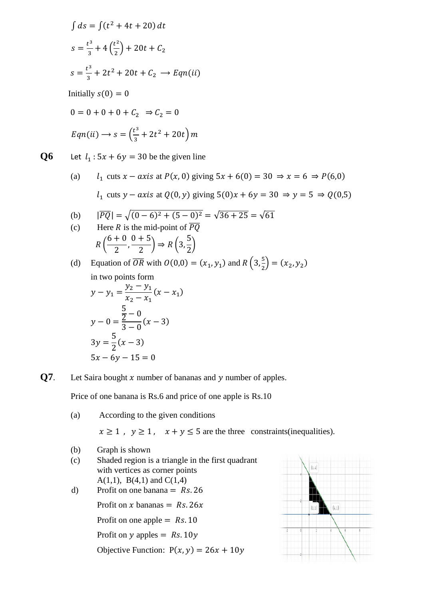$$
\int ds = \int (t^2 + 4t + 20) dt
$$
  
\n
$$
s = \frac{t^3}{3} + 4\left(\frac{t^2}{2}\right) + 20t + C_2
$$
  
\n
$$
s = \frac{t^3}{3} + 2t^2 + 20t + C_2 \longrightarrow Eqn(ii)
$$
  
\nInitially  $s(0) = 0$   
\n
$$
0 = 0 + 0 + 0 + C_2 \Rightarrow C_2 = 0
$$
  
\n
$$
Eqn(ii) \longrightarrow s = \left(\frac{t^3}{3} + 2t^2 + 20t\right)m
$$

**Q6** Let  $l_1$ :  $5x + 6y = 30$  be the given line

(a)  $l_1$  cuts  $x - axis$  at  $P(x, 0)$  giving  $5x + 6(0) = 30 \Rightarrow x = 6 \Rightarrow P(6,0)$  $l_1$  cuts  $y - axis$  at  $Q(0, y)$  giving  $5(0)x + 6y = 30 \Rightarrow y = 5 \Rightarrow Q(0,5)$ 

(b) 
$$
|\overline{PQ}| = \sqrt{(0-6)^2 + (5-0)^2} = \sqrt{36 + 25} = \sqrt{61}
$$
  
(c) Here *P* is the mid point of  $\overline{PQ}$ 

(c) Here *R* is the mid-point of 
$$
\overline{PQ}
$$
  

$$
R\left(\frac{6+0}{2}, \frac{0+5}{2}\right) \Rightarrow R\left(3, \frac{5}{2}\right)
$$

(d) Equation of  $\overline{OR}$  with  $O(0,0) = (x_1, y_1)$  and  $R\left(3, \frac{5}{2}\right)$  $\frac{3}{2}$  = (x<sub>2</sub>, y<sub>2</sub>) in two points form  $y - y_1 =$  $y_2 - y_1$  $x_2 - x_1$  $(x - x_1)$ 

$$
x_2 - x_1
$$
  
\n
$$
y - 0 = \frac{5}{2} - 0
$$
  
\n
$$
3y = \frac{5}{2}(x - 3)
$$
  
\n
$$
5x - 6y - 15 = 0
$$

**Q7**. Let Saira bought  $x$  number of bananas and  $y$  number of apples.

Price of one banana is Rs.6 and price of one apple is Rs.10

(a) According to the given conditions  $x \ge 1$ ,  $y \ge 1$ ,  $x + y \le 5$  are the three constraints(inequalities). (b) Graph is shown (c) Shaded region is a triangle in the first quadrant with vertices as corner points A(1,1), B(4,1) and C(1,4) d) Profit on one banana  $= Rs. 26$ Profit on x bananas =  $Rs. 26x$ Profit on one apple  $=$  Rs. 10 Profit on  $y$  apples = Rs. 10 $y$ Objective Function:  $P(x, y) = 26x + 10y$